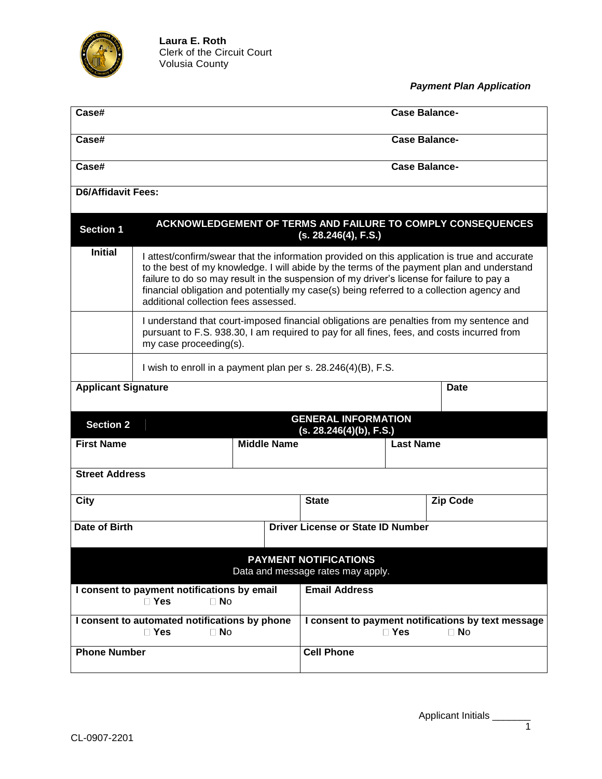

*Payment Plan Application*

| Case#                                                                     |                                                                                                                                                                                                                                                                                                                                                                                                                              |                                          |                      | <b>Case Balance-</b> |                                                                 |  |
|---------------------------------------------------------------------------|------------------------------------------------------------------------------------------------------------------------------------------------------------------------------------------------------------------------------------------------------------------------------------------------------------------------------------------------------------------------------------------------------------------------------|------------------------------------------|----------------------|----------------------|-----------------------------------------------------------------|--|
| Case#                                                                     |                                                                                                                                                                                                                                                                                                                                                                                                                              |                                          |                      | <b>Case Balance-</b> |                                                                 |  |
| Case#                                                                     |                                                                                                                                                                                                                                                                                                                                                                                                                              |                                          |                      | <b>Case Balance-</b> |                                                                 |  |
| <b>D6/Affidavit Fees:</b>                                                 |                                                                                                                                                                                                                                                                                                                                                                                                                              |                                          |                      |                      |                                                                 |  |
| <b>Section 1</b>                                                          |                                                                                                                                                                                                                                                                                                                                                                                                                              |                                          | (s. 28.246(4), F.S.) |                      | ACKNOWLEDGEMENT OF TERMS AND FAILURE TO COMPLY CONSEQUENCES     |  |
| <b>Initial</b>                                                            | I attest/confirm/swear that the information provided on this application is true and accurate<br>to the best of my knowledge. I will abide by the terms of the payment plan and understand<br>failure to do so may result in the suspension of my driver's license for failure to pay a<br>financial obligation and potentially my case(s) being referred to a collection agency and<br>additional collection fees assessed. |                                          |                      |                      |                                                                 |  |
|                                                                           | I understand that court-imposed financial obligations are penalties from my sentence and<br>pursuant to F.S. 938.30, I am required to pay for all fines, fees, and costs incurred from<br>my case proceeding(s).                                                                                                                                                                                                             |                                          |                      |                      |                                                                 |  |
|                                                                           | I wish to enroll in a payment plan per s. 28.246(4)(B), F.S.                                                                                                                                                                                                                                                                                                                                                                 |                                          |                      |                      |                                                                 |  |
| <b>Applicant Signature</b>                                                |                                                                                                                                                                                                                                                                                                                                                                                                                              |                                          |                      |                      | Date                                                            |  |
| <b>GENERAL INFORMATION</b><br><b>Section 2</b><br>(s. 28.246(4)(b), F.S.) |                                                                                                                                                                                                                                                                                                                                                                                                                              |                                          |                      |                      |                                                                 |  |
| <b>First Name</b>                                                         |                                                                                                                                                                                                                                                                                                                                                                                                                              | <b>Middle Name</b>                       |                      | <b>Last Name</b>     |                                                                 |  |
| <b>Street Address</b>                                                     |                                                                                                                                                                                                                                                                                                                                                                                                                              |                                          |                      |                      |                                                                 |  |
| City                                                                      |                                                                                                                                                                                                                                                                                                                                                                                                                              |                                          | <b>State</b>         |                      | <b>Zip Code</b>                                                 |  |
| Date of Birth                                                             |                                                                                                                                                                                                                                                                                                                                                                                                                              | <b>Driver License or State ID Number</b> |                      |                      |                                                                 |  |
| <b>PAYMENT NOTIFICATIONS</b><br>Data and message rates may apply.         |                                                                                                                                                                                                                                                                                                                                                                                                                              |                                          |                      |                      |                                                                 |  |
| I consent to payment notifications by email<br>$\Box$ Yes<br>$\Box$ No    |                                                                                                                                                                                                                                                                                                                                                                                                                              |                                          | <b>Email Address</b> |                      |                                                                 |  |
| I consent to automated notifications by phone<br>$\Box$ No<br>$\Box$ Yes  |                                                                                                                                                                                                                                                                                                                                                                                                                              |                                          |                      | $\Box$ Yes           | I consent to payment notifications by text message<br>$\Box$ No |  |
| <b>Phone Number</b>                                                       |                                                                                                                                                                                                                                                                                                                                                                                                                              |                                          | <b>Cell Phone</b>    |                      |                                                                 |  |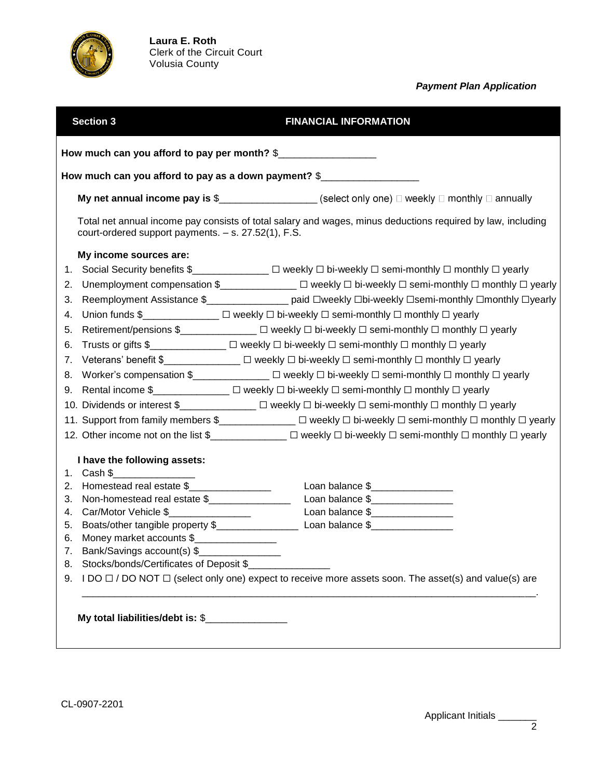

## *Payment Plan Application*

|                                                                                                                                                                    | <b>Section 3</b>                                     | <b>FINANCIAL INFORMATION</b>                                                                                                                                                                                               |  |  |  |  |
|--------------------------------------------------------------------------------------------------------------------------------------------------------------------|------------------------------------------------------|----------------------------------------------------------------------------------------------------------------------------------------------------------------------------------------------------------------------------|--|--|--|--|
| How much can you afford to pay per month? \$                                                                                                                       |                                                      |                                                                                                                                                                                                                            |  |  |  |  |
|                                                                                                                                                                    | How much can you afford to pay as a down payment? \$ |                                                                                                                                                                                                                            |  |  |  |  |
|                                                                                                                                                                    |                                                      | My net annual income pay is $\frac{1}{2}$ $\frac{1}{2}$ $\frac{1}{2}$ $\frac{1}{2}$ $\frac{1}{2}$ $\frac{1}{2}$ $\frac{1}{2}$ $\frac{1}{2}$ $\frac{1}{2}$ $\frac{1}{2}$ $\frac{1}{2}$ $\frac{1}{2}$ $\frac{1}{2}$ annually |  |  |  |  |
| Total net annual income pay consists of total salary and wages, minus deductions required by law, including<br>court-ordered support payments. - s. 27.52(1), F.S. |                                                      |                                                                                                                                                                                                                            |  |  |  |  |
|                                                                                                                                                                    | My income sources are:                               |                                                                                                                                                                                                                            |  |  |  |  |
| 1.                                                                                                                                                                 |                                                      | Social Security benefits \$______________ □ weekly □ bi-weekly □ semi-monthly □ monthly □ yearly                                                                                                                           |  |  |  |  |
| 2.                                                                                                                                                                 |                                                      |                                                                                                                                                                                                                            |  |  |  |  |
| 3.                                                                                                                                                                 |                                                      | Reemployment Assistance \$__________________ paid Dweekly Dbi-weekly Dsemi-monthly Dmonthly Dyearly                                                                                                                        |  |  |  |  |
| 4.                                                                                                                                                                 |                                                      | Union funds \$______________ □ weekly □ bi-weekly □ semi-monthly □ monthly □ yearly                                                                                                                                        |  |  |  |  |
| 5.                                                                                                                                                                 |                                                      | Retirement/pensions \$______________ □ weekly □ bi-weekly □ semi-monthly □ monthly □ yearly                                                                                                                                |  |  |  |  |
| 6.                                                                                                                                                                 |                                                      | Trusts or gifts \$_____________ □ weekly □ bi-weekly □ semi-monthly □ monthly □ yearly                                                                                                                                     |  |  |  |  |
|                                                                                                                                                                    |                                                      | 7. Veterans' benefit \$______________ □ weekly □ bi-weekly □ semi-monthly □ monthly □ yearly                                                                                                                               |  |  |  |  |
|                                                                                                                                                                    |                                                      | 8. Worker's compensation \$______________ □ weekly □ bi-weekly □ semi-monthly □ monthly □ yearly                                                                                                                           |  |  |  |  |
| 9.                                                                                                                                                                 |                                                      |                                                                                                                                                                                                                            |  |  |  |  |
|                                                                                                                                                                    |                                                      | 10. Dividends or interest \$______________ □ weekly □ bi-weekly □ semi-monthly □ monthly □ yearly                                                                                                                          |  |  |  |  |
|                                                                                                                                                                    |                                                      | 11. Support from family members \$_____________ □ weekly □ bi-weekly □ semi-monthly □ monthly □ yearly                                                                                                                     |  |  |  |  |
|                                                                                                                                                                    |                                                      | 12. Other income not on the list \$_____________ □ weekly □ bi-weekly □ semi-monthly □ monthly □ yearly                                                                                                                    |  |  |  |  |
|                                                                                                                                                                    |                                                      |                                                                                                                                                                                                                            |  |  |  |  |
|                                                                                                                                                                    | I have the following assets:<br>1. Cash \$           |                                                                                                                                                                                                                            |  |  |  |  |
| 2.                                                                                                                                                                 | Homestead real estate \$                             | Loan balance \$                                                                                                                                                                                                            |  |  |  |  |
| 3.                                                                                                                                                                 | Non-homestead real estate \$                         | Loan balance \$                                                                                                                                                                                                            |  |  |  |  |
| 4.                                                                                                                                                                 | Car/Motor Vehicle \$                                 | Loan balance \$                                                                                                                                                                                                            |  |  |  |  |
| 5.                                                                                                                                                                 |                                                      |                                                                                                                                                                                                                            |  |  |  |  |
|                                                                                                                                                                    | 6. Money market accounts \$                          |                                                                                                                                                                                                                            |  |  |  |  |
| 7.                                                                                                                                                                 | Bank/Savings account(s) \$                           |                                                                                                                                                                                                                            |  |  |  |  |
| 8.                                                                                                                                                                 | Stocks/bonds/Certificates of Deposit \$              |                                                                                                                                                                                                                            |  |  |  |  |
| 9.                                                                                                                                                                 |                                                      | I DO □ / DO NOT □ (select only one) expect to receive more assets soon. The asset(s) and value(s) are                                                                                                                      |  |  |  |  |
|                                                                                                                                                                    |                                                      |                                                                                                                                                                                                                            |  |  |  |  |
| My total liabilities/debt is: \$                                                                                                                                   |                                                      |                                                                                                                                                                                                                            |  |  |  |  |
|                                                                                                                                                                    |                                                      |                                                                                                                                                                                                                            |  |  |  |  |
|                                                                                                                                                                    |                                                      |                                                                                                                                                                                                                            |  |  |  |  |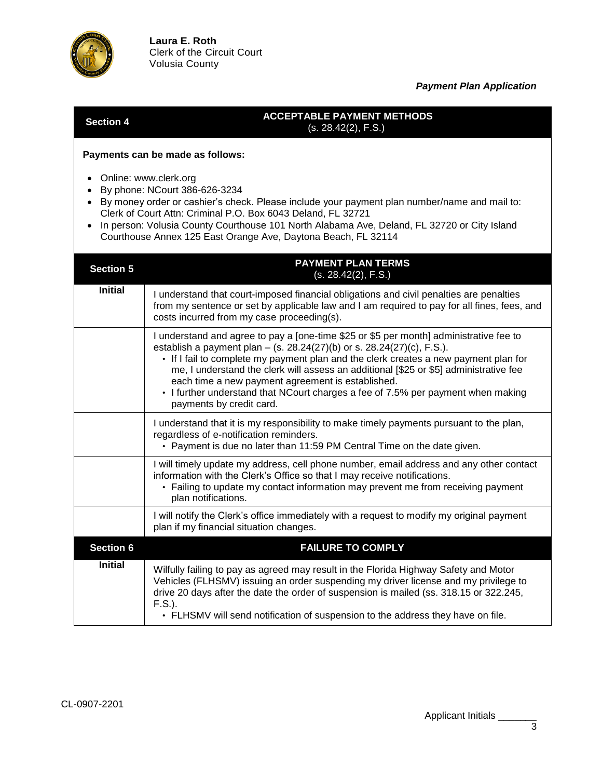

re

## *Payment Plan Application*

**Section 4 ACCEPTABLE PAYMENT METHODS** (s. 28.42(2), F.S.)

**Payments can be made as follows:**

- Online: www.clerk.org
- By phone: NCourt 386-626-3234
- By money order or cashier's check. Please include your payment plan number/name and mail to: Clerk of Court Attn: Criminal P.O. Box 6043 Deland, FL 32721
- In person: Volusia County Courthouse 101 North Alabama Ave, Deland, FL 32720 or City Island Courthouse Annex 125 East Orange Ave, Daytona Beach, FL 32114

| <b>Section 5</b> | <b>PAYMENT PLAN TERMS</b><br>(s. 28.42(2), F.S.)                                                                                                                                                                                                                                                                                                                                                                                                                                                                       |  |
|------------------|------------------------------------------------------------------------------------------------------------------------------------------------------------------------------------------------------------------------------------------------------------------------------------------------------------------------------------------------------------------------------------------------------------------------------------------------------------------------------------------------------------------------|--|
| <b>Initial</b>   | I understand that court-imposed financial obligations and civil penalties are penalties<br>from my sentence or set by applicable law and I am required to pay for all fines, fees, and<br>costs incurred from my case proceeding(s).                                                                                                                                                                                                                                                                                   |  |
|                  | I understand and agree to pay a [one-time \$25 or \$5 per month] administrative fee to<br>establish a payment plan – (s. 28.24(27)(b) or s. 28.24(27)(c), F.S.).<br>• If I fail to complete my payment plan and the clerk creates a new payment plan for<br>me, I understand the clerk will assess an additional [\$25 or \$5] administrative fee<br>each time a new payment agreement is established.<br>• I further understand that NCourt charges a fee of 7.5% per payment when making<br>payments by credit card. |  |
|                  | I understand that it is my responsibility to make timely payments pursuant to the plan,<br>regardless of e-notification reminders.<br>• Payment is due no later than 11:59 PM Central Time on the date given.                                                                                                                                                                                                                                                                                                          |  |
|                  | I will timely update my address, cell phone number, email address and any other contact<br>information with the Clerk's Office so that I may receive notifications.<br>• Failing to update my contact information may prevent me from receiving payment<br>plan notifications.                                                                                                                                                                                                                                         |  |
|                  | I will notify the Clerk's office immediately with a request to modify my original payment<br>plan if my financial situation changes.                                                                                                                                                                                                                                                                                                                                                                                   |  |
| <b>Section 6</b> | <b>FAILURE TO COMPLY</b>                                                                                                                                                                                                                                                                                                                                                                                                                                                                                               |  |
| <b>Initial</b>   | Wilfully failing to pay as agreed may result in the Florida Highway Safety and Motor<br>Vehicles (FLHSMV) issuing an order suspending my driver license and my privilege to<br>drive 20 days after the date the order of suspension is mailed (ss. 318.15 or 322.245,<br>$F.S.$ ).<br>• FLHSMV will send notification of suspension to the address they have on file.                                                                                                                                                  |  |